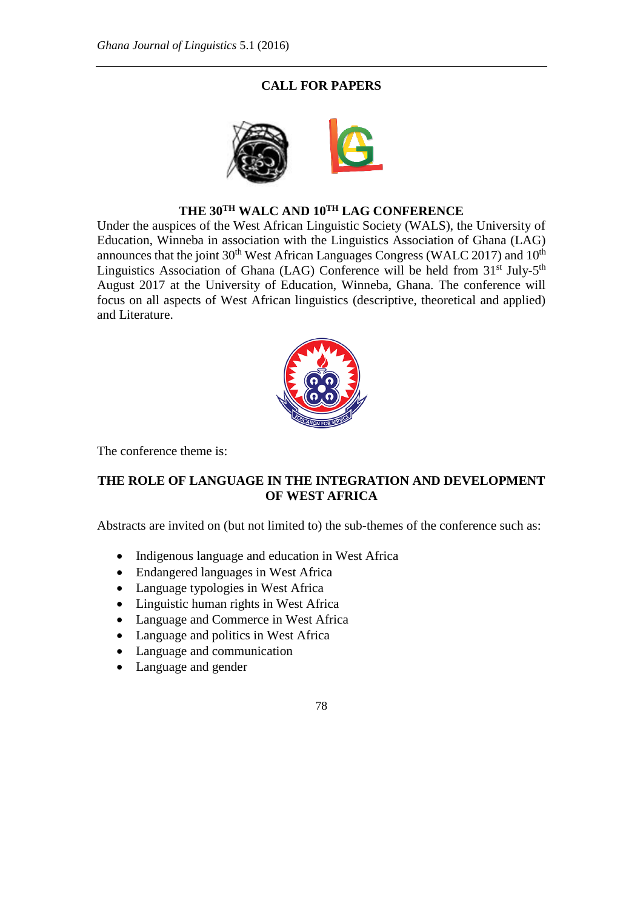## **CALL FOR PAPERS**



## **THE 30TH WALC AND 10TH LAG CONFERENCE**

Under the auspices of the West African Linguistic Society (WALS), the University of Education, Winneba in association with the Linguistics Association of Ghana (LAG) announces that the joint  $30<sup>th</sup>$  West African Languages Congress (WALC 2017) and  $10<sup>th</sup>$ Linguistics Association of Ghana (LAG) Conference will be held from  $31<sup>st</sup>$  July- $5<sup>th</sup>$ August 2017 at the University of Education, Winneba, Ghana. The conference will focus on all aspects of West African linguistics (descriptive, theoretical and applied) and Literature.



The conference theme is:

## **THE ROLE OF LANGUAGE IN THE INTEGRATION AND DEVELOPMENT OF WEST AFRICA**

Abstracts are invited on (but not limited to) the sub-themes of the conference such as:

- Indigenous language and education in West Africa
- Endangered languages in West Africa
- Language typologies in West Africa
- Linguistic human rights in West Africa
- Language and Commerce in West Africa
- Language and politics in West Africa
- Language and communication
- Language and gender

## 78